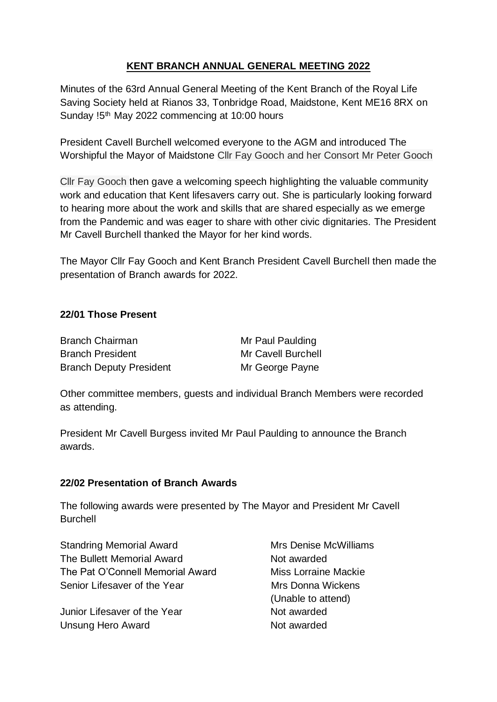# **KENT BRANCH ANNUAL GENERAL MEETING 2022**

Minutes of the 63rd Annual General Meeting of the Kent Branch of the Royal Life Saving Society held at Rianos 33, Tonbridge Road, Maidstone, Kent ME16 8RX on Sunday !5<sup>th</sup> May 2022 commencing at 10:00 hours

President Cavell Burchell welcomed everyone to the AGM and introduced The Worshipful the Mayor of Maidstone Cllr Fay Gooch and her Consort Mr Peter Gooch

Cllr Fay Gooch then gave a welcoming speech highlighting the valuable community work and education that Kent lifesavers carry out. She is particularly looking forward to hearing more about the work and skills that are shared especially as we emerge from the Pandemic and was eager to share with other civic dignitaries. The President Mr Cavell Burchell thanked the Mayor for her kind words.

The Mayor Cllr Fay Gooch and Kent Branch President Cavell Burchell then made the presentation of Branch awards for 2022.

### **22/01 Those Present**

| <b>Branch Chairman</b>         | Mr Paul Paulding   |
|--------------------------------|--------------------|
| <b>Branch President</b>        | Mr Cavell Burchell |
| <b>Branch Deputy President</b> | Mr George Payne    |

Other committee members, guests and individual Branch Members were recorded as attending.

President Mr Cavell Burgess invited Mr Paul Paulding to announce the Branch awards.

# **22/02 Presentation of Branch Awards**

The following awards were presented by The Mayor and President Mr Cavell Burchell

Standring Memorial Award Mrs Denise McWilliams The Bullett Memorial Award Not awarded The Pat O'Connell Memorial Award Miss Lorraine Mackie Senior Lifesaver of the Year Mrs Donna Wickens

Junior Lifesaver of the Year Not awarded Unsung Hero Award Not awarded

(Unable to attend)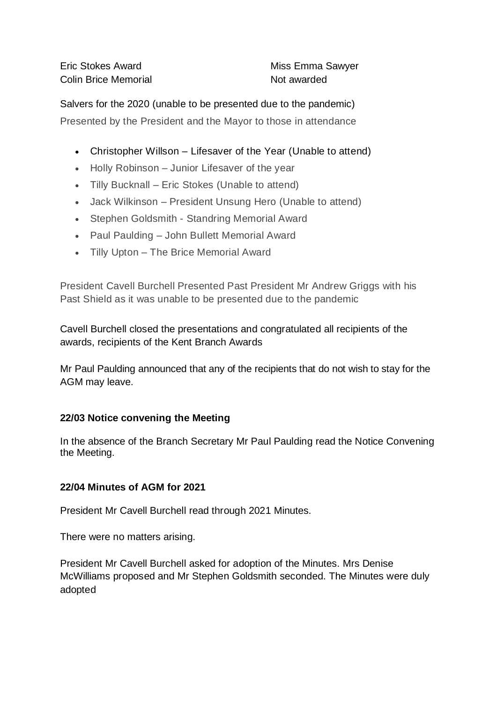Eric Stokes Award Miss Emma Sawyer Colin Brice Memorial Not awarded

Salvers for the 2020 (unable to be presented due to the pandemic) Presented by the President and the Mayor to those in attendance

- Christopher Willson Lifesaver of the Year (Unable to attend)
- Holly Robinson Junior Lifesaver of the year
- Tilly Bucknall Eric Stokes (Unable to attend)
- Jack Wilkinson President Unsung Hero (Unable to attend)
- Stephen Goldsmith Standring Memorial Award
- Paul Paulding John Bullett Memorial Award
- Tilly Upton The Brice Memorial Award

President Cavell Burchell Presented Past President Mr Andrew Griggs with his Past Shield as it was unable to be presented due to the pandemic

Cavell Burchell closed the presentations and congratulated all recipients of the awards, recipients of the Kent Branch Awards

Mr Paul Paulding announced that any of the recipients that do not wish to stay for the AGM may leave.

# **22/03 Notice convening the Meeting**

In the absence of the Branch Secretary Mr Paul Paulding read the Notice Convening the Meeting.

# **22/04 Minutes of AGM for 2021**

President Mr Cavell Burchell read through 2021 Minutes.

There were no matters arising.

President Mr Cavell Burchell asked for adoption of the Minutes. Mrs Denise McWilliams proposed and Mr Stephen Goldsmith seconded. The Minutes were duly adopted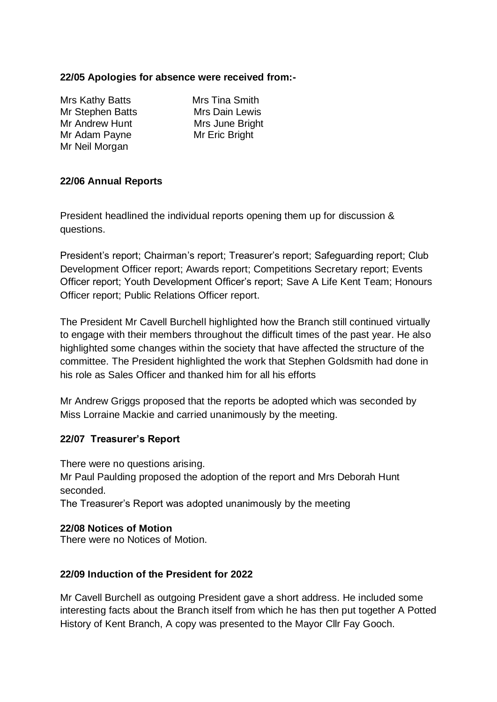### **22/05 Apologies for absence were received from:-**

Mrs Kathy Batts Mrs Tina Smith Mr Stephen Batts Mrs Dain Lewis Mr Andrew Hunt Mrs June Bright Mr Adam Payne Mr Eric Bright Mr Neil Morgan

# **22/06 Annual Reports**

President headlined the individual reports opening them up for discussion & questions.

President's report; Chairman's report; Treasurer's report; Safeguarding report; Club Development Officer report; Awards report; Competitions Secretary report; Events Officer report; Youth Development Officer's report; Save A Life Kent Team; Honours Officer report; Public Relations Officer report.

The President Mr Cavell Burchell highlighted how the Branch still continued virtually to engage with their members throughout the difficult times of the past year. He also highlighted some changes within the society that have affected the structure of the committee. The President highlighted the work that Stephen Goldsmith had done in his role as Sales Officer and thanked him for all his efforts

Mr Andrew Griggs proposed that the reports be adopted which was seconded by Miss Lorraine Mackie and carried unanimously by the meeting.

#### **22/07 Treasurer's Report**

There were no questions arising.

Mr Paul Paulding proposed the adoption of the report and Mrs Deborah Hunt seconded.

The Treasurer's Report was adopted unanimously by the meeting

#### **22/08 Notices of Motion**

There were no Notices of Motion.

#### **22/09 Induction of the President for 2022**

Mr Cavell Burchell as outgoing President gave a short address. He included some interesting facts about the Branch itself from which he has then put together A Potted History of Kent Branch, A copy was presented to the Mayor Cllr Fay Gooch.